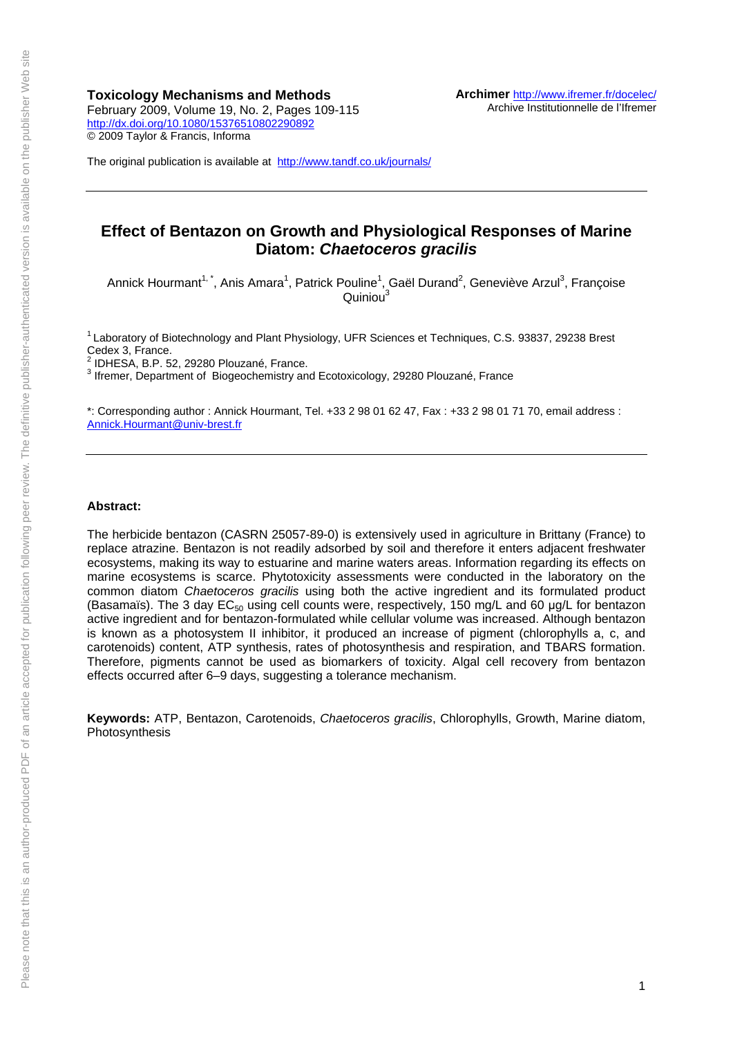**Toxicology Mechanisms and Methods**  February 2009, Volume 19, No. 2, Pages 109-115 <http://dx.doi.org/10.1080/15376510802290892> © 2009 Taylor & Francis, Informa

The original publication is available at <http://www.tandf.co.uk/journals/>

## **Effect of Bentazon on Growth and Physiological Responses of Marine Diatom:** *Chaetoceros gracilis*

Annick Hourmant<sup>1,\*</sup>, Anis Amara<sup>1</sup>, Patrick Pouline<sup>1</sup>, Gaël Durand<sup>2</sup>, Geneviève Arzul<sup>3</sup>, Françoise  $Quiniou<sup>3</sup>$ 

1 Laboratory of Biotechnology and Plant Physiology, UFR Sciences et Techniques, C.S. 93837, 29238 Brest Cedex 3, France.

 $2$  IDHESA, B.P. 52, 29280 Plouzané, France.

<sup>3</sup> Ifremer, Department of Biogeochemistry and Ecotoxicology, 29280 Plouzané, France

\*: Corresponding author : Annick Hourmant, Tel. +33 2 98 01 62 47, Fax : +33 2 98 01 71 70, email address : [Annick.Hourmant@univ-brest.fr](mailto:Annick.Hourmant@univ-brest.fr)

#### **Abstract:**

The herbicide bentazon (CASRN 25057-89-0) is extensively used in agriculture in Brittany (France) to replace atrazine. Bentazon is not readily adsorbed by soil and therefore it enters adjacent freshwater ecosystems, making its way to estuarine and marine waters areas. Information regarding its effects on marine ecosystems is scarce. Phytotoxicity assessments were conducted in the laboratory on the common diatom *Chaetoceros gracilis* using both the active ingredient and its formulated product (Basamaïs). The 3 day  $EC_{50}$  using cell counts were, respectively, 150 mg/L and 60 µg/L for bentazon active ingredient and for bentazon-formulated while cellular volume was increased. Although bentazon is known as a photosystem II inhibitor, it produced an increase of pigment (chlorophylls a, c, and carotenoids) content, ATP synthesis, rates of photosynthesis and respiration, and TBARS formation. Therefore, pigments cannot be used as biomarkers of toxicity. Algal cell recovery from bentazon effects occurred after 6–9 days, suggesting a tolerance mechanism.

**Keywords:** ATP, Bentazon, Carotenoids, *Chaetoceros gracilis*, Chlorophylls, Growth, Marine diatom, Photosynthesis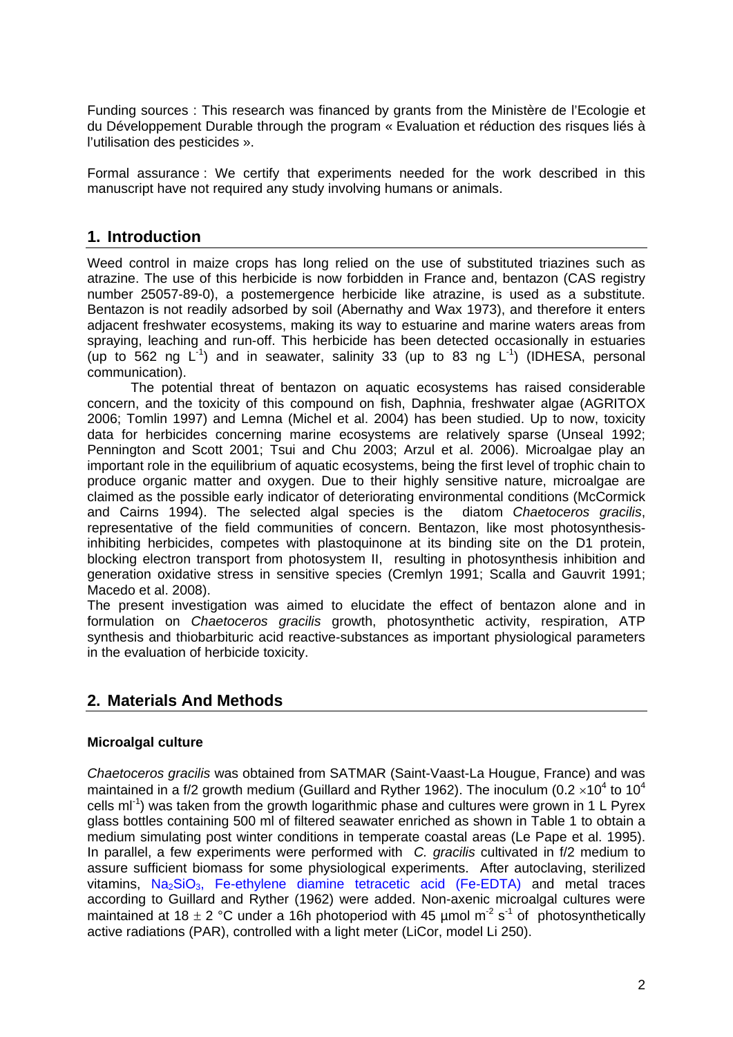Funding sources : This research was financed by grants from the Ministère de l'Ecologie et du Développement Durable through the program « Evaluation et réduction des risques liés à l'utilisation des pesticides ».

Formal assurance : We certify that experiments needed for the work described in this manuscript have not required any study involving humans or animals.

# **1. Introduction**

Weed control in maize crops has long relied on the use of substituted triazines such as atrazine. The use of this herbicide is now forbidden in France and, bentazon (CAS registry number 25057-89-0), a postemergence herbicide like atrazine, is used as a substitute. Bentazon is not readily adsorbed by soil (Abernathy and Wax 1973), and therefore it enters adjacent freshwater ecosystems, making its way to estuarine and marine waters areas from spraying, leaching and run-off. This herbicide has been detected occasionally in estuaries (up to 562 ng  $\mathsf{L}^{-1}$ ) and in seawater, salinity 33 (up to 83 ng  $\mathsf{L}^{-1}$ ) (IDHESA, personal communication).

 The potential threat of bentazon on aquatic ecosystems has raised considerable concern, and the toxicity of this compound on fish, Daphnia, freshwater algae (AGRITOX 2006; Tomlin 1997) and Lemna (Michel et al. 2004) has been studied. Up to now, toxicity data for herbicides concerning marine ecosystems are relatively sparse (Unseal 1992; Pennington and Scott 2001; Tsui and Chu 2003; Arzul et al. 2006). Microalgae play an important role in the equilibrium of aquatic ecosystems, being the first level of trophic chain to produce organic matter and oxygen. Due to their highly sensitive nature, microalgae are claimed as the possible early indicator of deteriorating environmental conditions (McCormick and Cairns 1994). The selected algal species is the diatom *Chaetoceros gracilis*, representative of the field communities of concern. Bentazon, like most photosynthesisinhibiting herbicides, competes with plastoquinone at its binding site on the D1 protein, blocking electron transport from photosystem II, resulting in photosynthesis inhibition and generation oxidative stress in sensitive species (Cremlyn 1991; Scalla and Gauvrit 1991; Macedo et al. 2008).

The present investigation was aimed to elucidate the effect of bentazon alone and in formulation on *Chaetoceros gracilis* growth, photosynthetic activity, respiration, ATP synthesis and thiobarbituric acid reactive-substances as important physiological parameters in the evaluation of herbicide toxicity.

## **2. Materials And Methods**

### **Microalgal culture**

*Chaetoceros gracilis* was obtained from SATMAR (Saint-Vaast-La Hougue, France) and was maintained in a f/2 growth medium (Guillard and Ryther 1962). The inoculum (0.2  $\times$ 10<sup>4</sup> to 10<sup>4</sup> cells m $I<sup>1</sup>$ ) was taken from the growth logarithmic phase and cultures were grown in 1 L Pyrex glass bottles containing 500 ml of filtered seawater enriched as shown in Table 1 to obtain a medium simulating post winter conditions in temperate coastal areas (Le Pape et al. 1995). In parallel, a few experiments were performed with *C. gracilis* cultivated in f/2 medium to assure sufficient biomass for some physiological experiments. After autoclaving, sterilized vitamins,  $Na<sub>2</sub>SiO<sub>3</sub>$ , Fe-ethylene diamine tetracetic acid (Fe-EDTA) and metal traces according to Guillard and Ryther (1962) were added. Non-axenic microalgal cultures were maintained at 18  $\pm$  2 °C under a 16h photoperiod with 45 µmol m<sup>-2</sup> s<sup>-1</sup> of photosynthetically active radiations (PAR), controlled with a light meter (LiCor, model Li 250).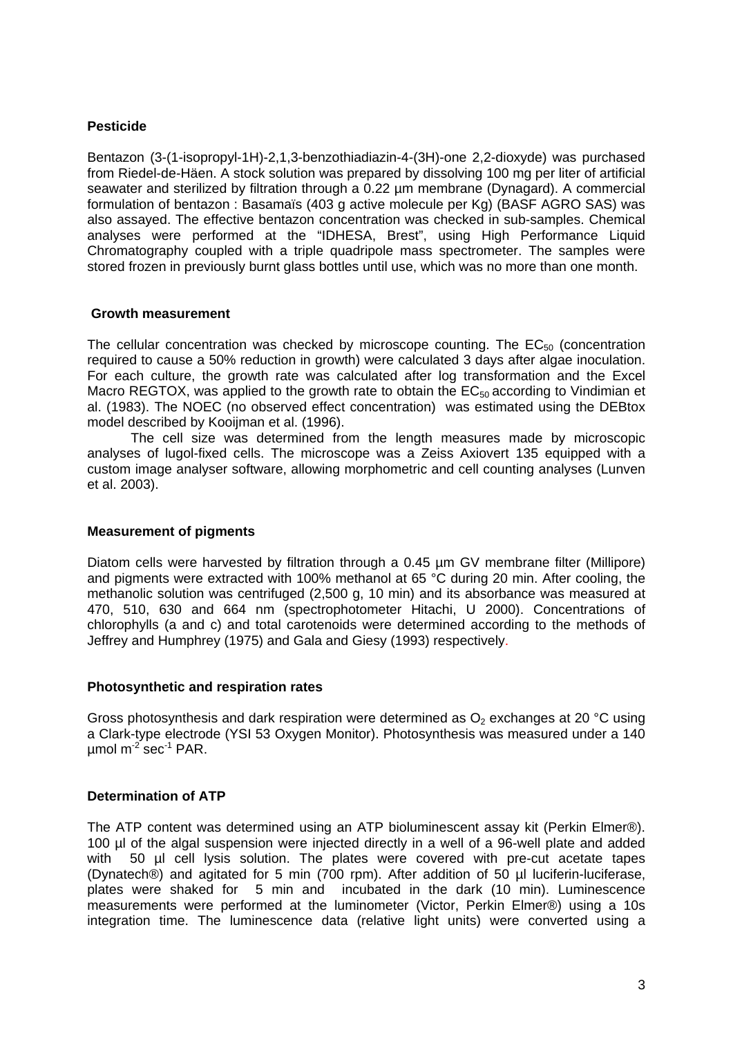### **Pesticide**

Bentazon (3-(1-isopropyl-1H)-2,1,3-benzothiadiazin-4-(3H)-one 2,2-dioxyde) was purchased from Riedel-de-Häen. A stock solution was prepared by dissolving 100 mg per liter of artificial seawater and sterilized by filtration through a 0.22 um membrane (Dynagard). A commercial formulation of bentazon : Basamaïs (403 g active molecule per Kg) (BASF AGRO SAS) was also assayed. The effective bentazon concentration was checked in sub-samples. Chemical analyses were performed at the "IDHESA, Brest", using High Performance Liquid Chromatography coupled with a triple quadripole mass spectrometer. The samples were stored frozen in previously burnt glass bottles until use, which was no more than one month.

#### **Growth measurement**

The cellular concentration was checked by microscope counting. The  $EC_{50}$  (concentration required to cause a 50% reduction in growth) were calculated 3 days after algae inoculation. For each culture, the growth rate was calculated after log transformation and the Excel Macro REGTOX, was applied to the growth rate to obtain the  $EC_{50}$  according to Vindimian et al. (1983). The NOEC (no observed effect concentration) was estimated using the DEBtox model described by Kooijman et al. (1996).

 The cell size was determined from the length measures made by microscopic analyses of lugol-fixed cells. The microscope was a Zeiss Axiovert 135 equipped with a custom image analyser software, allowing morphometric and cell counting analyses (Lunven et al. 2003).

#### **Measurement of pigments**

Diatom cells were harvested by filtration through a 0.45 um GV membrane filter (Millipore) and pigments were extracted with 100% methanol at 65 °C during 20 min. After cooling, the methanolic solution was centrifuged (2,500 g, 10 min) and its absorbance was measured at 470, 510, 630 and 664 nm (spectrophotometer Hitachi, U 2000). Concentrations of chlorophylls (a and c) and total carotenoids were determined according to the methods of Jeffrey and Humphrey (1975) and Gala and Giesy (1993) respectively.

#### **Photosynthetic and respiration rates**

Gross photosynthesis and dark respiration were determined as  $O<sub>2</sub>$  exchanges at 20 °C using a Clark-type electrode (YSI 53 Oxygen Monitor). Photosynthesis was measured under a 140 umol  $m^{-2}$  sec<sup>-1</sup> PAR.

### **Determination of ATP**

The ATP content was determined using an ATP bioluminescent assay kit (Perkin Elmer®). 100 µl of the algal suspension were injected directly in a well of a 96-well plate and added with 50 ul cell lysis solution. The plates were covered with pre-cut acetate tapes (Dynatech®) and agitated for 5 min (700 rpm). After addition of 50 µl luciferin-luciferase, plates were shaked for 5 min and incubated in the dark (10 min). Luminescence measurements were performed at the luminometer (Victor, Perkin Elmer®) using a 10s integration time. The luminescence data (relative light units) were converted using a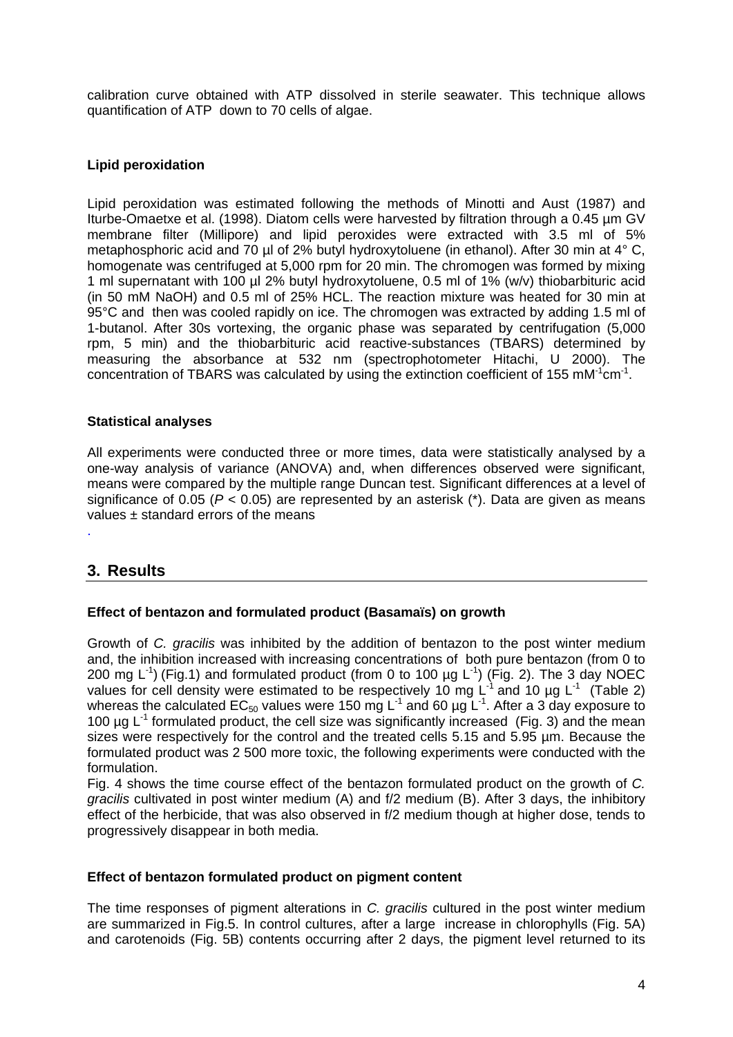calibration curve obtained with ATP dissolved in sterile seawater. This technique allows quantification of ATP down to 70 cells of algae.

### **Lipid peroxidation**

Lipid peroxidation was estimated following the methods of Minotti and Aust (1987) and Iturbe-Omaetxe et al. (1998). Diatom cells were harvested by filtration through a 0.45 µm GV membrane filter (Millipore) and lipid peroxides were extracted with 3.5 ml of 5% metaphosphoric acid and 70 µl of 2% butyl hydroxytoluene (in ethanol). After 30 min at 4° C, homogenate was centrifuged at 5,000 rpm for 20 min. The chromogen was formed by mixing 1 ml supernatant with 100 µl 2% butyl hydroxytoluene, 0.5 ml of 1% (w/v) thiobarbituric acid (in 50 mM NaOH) and 0.5 ml of 25% HCL. The reaction mixture was heated for 30 min at 95°C and then was cooled rapidly on ice. The chromogen was extracted by adding 1.5 ml of 1-butanol. After 30s vortexing, the organic phase was separated by centrifugation (5,000 rpm, 5 min) and the thiobarbituric acid reactive-substances (TBARS) determined by measuring the absorbance at 532 nm (spectrophotometer Hitachi, U 2000). The concentration of TBARS was calculated by using the extinction coefficient of 155 mM $1$ cm $1$ .

### **Statistical analyses**

All experiments were conducted three or more times, data were statistically analysed by a one-way analysis of variance (ANOVA) and, when differences observed were significant, means were compared by the multiple range Duncan test. Significant differences at a level of significance of 0.05 (*P* < 0.05) are represented by an asterisk (\*). Data are given as means values ± standard errors of the means .

# **3. Results**

### **Effect of bentazon and formulated product (Basamaïs) on growth**

Growth of *C. gracilis* was inhibited by the addition of bentazon to the post winter medium and, the inhibition increased with increasing concentrations of both pure bentazon (from 0 to 200 mg  $L^{-1}$ ) (Fig.1) and formulated product (from 0 to 100 µg  $L^{-1}$ ) (Fig. 2). The 3 day NOEC values for cell density were estimated to be respectively 10 mg L<sup>-1</sup> and 10 µg L<sup>-1</sup> (Table 2) whereas the calculated EC<sub>50</sub> values were 150 mg L<sup>-1</sup> and 60 µg L<sup>-1</sup>. After a 3 day exposure to 100  $\mu$ g L<sup>-1</sup> formulated product, the cell size was significantly increased (Fig. 3) and the mean sizes were respectively for the control and the treated cells 5.15 and 5.95 µm. Because the formulated product was 2 500 more toxic, the following experiments were conducted with the formulation.

Fig. 4 shows the time course effect of the bentazon formulated product on the growth of *C. gracilis* cultivated in post winter medium (A) and f/2 medium (B). After 3 days, the inhibitory effect of the herbicide, that was also observed in f/2 medium though at higher dose, tends to progressively disappear in both media.

### **Effect of bentazon formulated product on pigment content**

The time responses of pigment alterations in *C. gracilis* cultured in the post winter medium are summarized in Fig.5. In control cultures, after a large increase in chlorophylls (Fig. 5A) and carotenoids (Fig. 5B) contents occurring after 2 days, the pigment level returned to its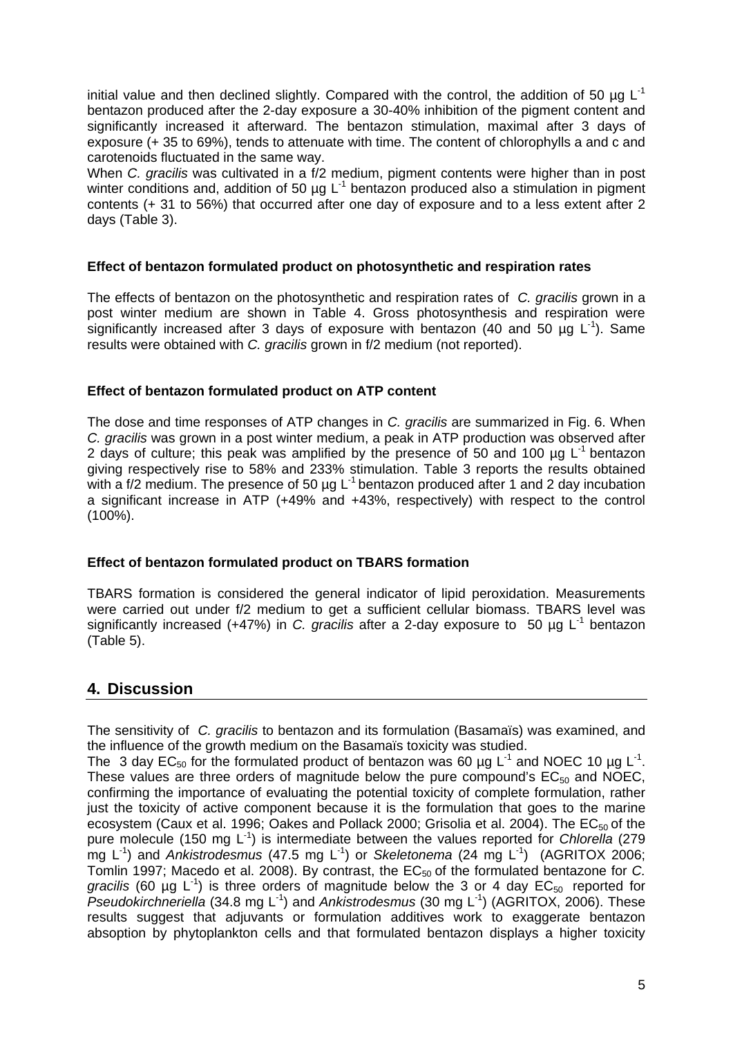initial value and then declined slightly. Compared with the control, the addition of 50  $\mu$ g L<sup>-1</sup> bentazon produced after the 2-day exposure a 30-40% inhibition of the pigment content and significantly increased it afterward. The bentazon stimulation, maximal after 3 days of exposure (+ 35 to 69%), tends to attenuate with time. The content of chlorophylls a and c and carotenoids fluctuated in the same way.

When *C. gracilis* was cultivated in a f/2 medium, pigment contents were higher than in post winter conditions and, addition of 50  $\mu$ g L<sup>-1</sup> bentazon produced also a stimulation in pigment contents (+ 31 to 56%) that occurred after one day of exposure and to a less extent after 2 days (Table 3).

### **Effect of bentazon formulated product on photosynthetic and respiration rates**

The effects of bentazon on the photosynthetic and respiration rates of *C. gracilis* grown in a post winter medium are shown in Table 4. Gross photosynthesis and respiration were significantly increased after 3 days of exposure with bentazon (40 and 50  $\mu$ g L<sup>-1</sup>). Same results were obtained with *C. gracilis* grown in f/2 medium (not reported).

#### **Effect of bentazon formulated product on ATP content**

The dose and time responses of ATP changes in *C. gracilis* are summarized in Fig. 6. When *C. gracilis* was grown in a post winter medium, a peak in ATP production was observed after 2 days of culture; this peak was amplified by the presence of 50 and 100  $\mu$ g L<sup>-1</sup> bentazon giving respectively rise to 58% and 233% stimulation. Table 3 reports the results obtained with a f/2 medium. The presence of 50 µg L<sup>-1</sup> bentazon produced after 1 and 2 day incubation a significant increase in ATP (+49% and +43%, respectively) with respect to the control (100%).

### **Effect of bentazon formulated product on TBARS formation**

TBARS formation is considered the general indicator of lipid peroxidation. Measurements were carried out under f/2 medium to get a sufficient cellular biomass. TBARS level was significantly increased (+47%) in *C. gracilis* after a 2-day exposure to 50 µg L-1 bentazon (Table 5).

# **4. Discussion**

The sensitivity of *C. gracilis* to bentazon and its formulation (Basamaïs) was examined, and the influence of the growth medium on the Basamaïs toxicity was studied.

The 3 day EC<sub>50</sub> for the formulated product of bentazon was 60 µg L<sup>-1</sup> and NOEC 10 µg L<sup>-1</sup>. These values are three orders of magnitude below the pure compound's  $EC_{50}$  and NOEC, confirming the importance of evaluating the potential toxicity of complete formulation, rather just the toxicity of active component because it is the formulation that goes to the marine ecosystem (Caux et al. 1996; Oakes and Pollack 2000; Grisolia et al. 2004). The  $EC_{50}$  of the pure molecule (150 mg L<sup>-1</sup>) is intermediate between the values reported for *Chlorella* (279 mg L<sup>1</sup>) and *Ankistrodesmus* (47.5 mg L<sup>1</sup>) or *Skeletonema* (24 mg L<sup>1</sup>) (AGRITOX 2006; Tomlin 1997; Macedo et al. 2008). By contrast, the EC<sub>50</sub> of the formulated bentazone for *C. gracilis* (60 µg  $L^{-1}$ ) is three orders of magnitude below the 3 or 4 day  $EC_{50}$  reported for *Pseudokirchneriella* (34.8 mg L-1) and *Ankistrodesmus* (30 mg L-1) (AGRITOX, 2006). These results suggest that adjuvants or formulation additives work to exaggerate bentazon absoption by phytoplankton cells and that formulated bentazon displays a higher toxicity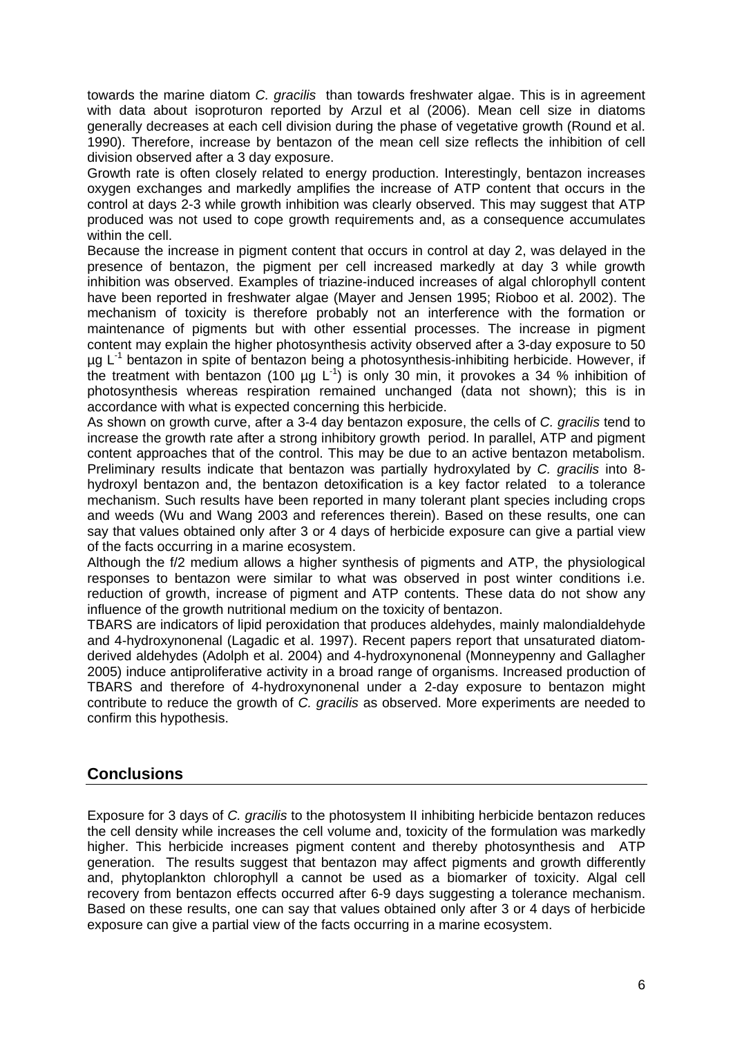towards the marine diatom *C. gracilis* than towards freshwater algae. This is in agreement with data about isoproturon reported by Arzul et al (2006). Mean cell size in diatoms generally decreases at each cell division during the phase of vegetative growth (Round et al. 1990). Therefore, increase by bentazon of the mean cell size reflects the inhibition of cell division observed after a 3 day exposure.

Growth rate is often closely related to energy production. Interestingly, bentazon increases oxygen exchanges and markedly amplifies the increase of ATP content that occurs in the control at days 2-3 while growth inhibition was clearly observed. This may suggest that ATP produced was not used to cope growth requirements and, as a consequence accumulates within the cell.

Because the increase in pigment content that occurs in control at day 2, was delayed in the presence of bentazon, the pigment per cell increased markedly at day 3 while growth inhibition was observed. Examples of triazine-induced increases of algal chlorophyll content have been reported in freshwater algae (Mayer and Jensen 1995; Rioboo et al. 2002). The mechanism of toxicity is therefore probably not an interference with the formation or maintenance of pigments but with other essential processes. The increase in pigment content may explain the higher photosynthesis activity observed after a 3-day exposure to 50  $\mu$ g L<sup>-1</sup> bentazon in spite of bentazon being a photosynthesis-inhibiting herbicide. However, if the treatment with bentazon (100 µg  $L^{-1}$ ) is only 30 min, it provokes a 34 % inhibition of photosynthesis whereas respiration remained unchanged (data not shown); this is in accordance with what is expected concerning this herbicide.

As shown on growth curve, after a 3-4 day bentazon exposure, the cells of *C. gracilis* tend to increase the growth rate after a strong inhibitory growth period. In parallel, ATP and pigment content approaches that of the control. This may be due to an active bentazon metabolism. Preliminary results indicate that bentazon was partially hydroxylated by *C. gracilis* into 8 hydroxyl bentazon and, the bentazon detoxification is a key factor related to a tolerance mechanism. Such results have been reported in many tolerant plant species including crops and weeds (Wu and Wang 2003 and references therein). Based on these results, one can say that values obtained only after 3 or 4 days of herbicide exposure can give a partial view of the facts occurring in a marine ecosystem.

Although the f/2 medium allows a higher synthesis of pigments and ATP, the physiological responses to bentazon were similar to what was observed in post winter conditions i.e. reduction of growth, increase of pigment and ATP contents. These data do not show any influence of the growth nutritional medium on the toxicity of bentazon.

TBARS are indicators of lipid peroxidation that produces aldehydes, mainly malondialdehyde and 4-hydroxynonenal (Lagadic et al. 1997). Recent papers report that unsaturated diatomderived aldehydes (Adolph et al. 2004) and 4-hydroxynonenal (Monneypenny and Gallagher 2005) induce antiproliferative activity in a broad range of organisms. Increased production of TBARS and therefore of 4-hydroxynonenal under a 2-day exposure to bentazon might contribute to reduce the growth of *C. gracilis* as observed. More experiments are needed to confirm this hypothesis.

# **Conclusions**

Exposure for 3 days of *C. gracilis* to the photosystem II inhibiting herbicide bentazon reduces the cell density while increases the cell volume and, toxicity of the formulation was markedly higher. This herbicide increases pigment content and thereby photosynthesis and ATP generation. The results suggest that bentazon may affect pigments and growth differently and, phytoplankton chlorophyll a cannot be used as a biomarker of toxicity. Algal cell recovery from bentazon effects occurred after 6-9 days suggesting a tolerance mechanism. Based on these results, one can say that values obtained only after 3 or 4 days of herbicide exposure can give a partial view of the facts occurring in a marine ecosystem.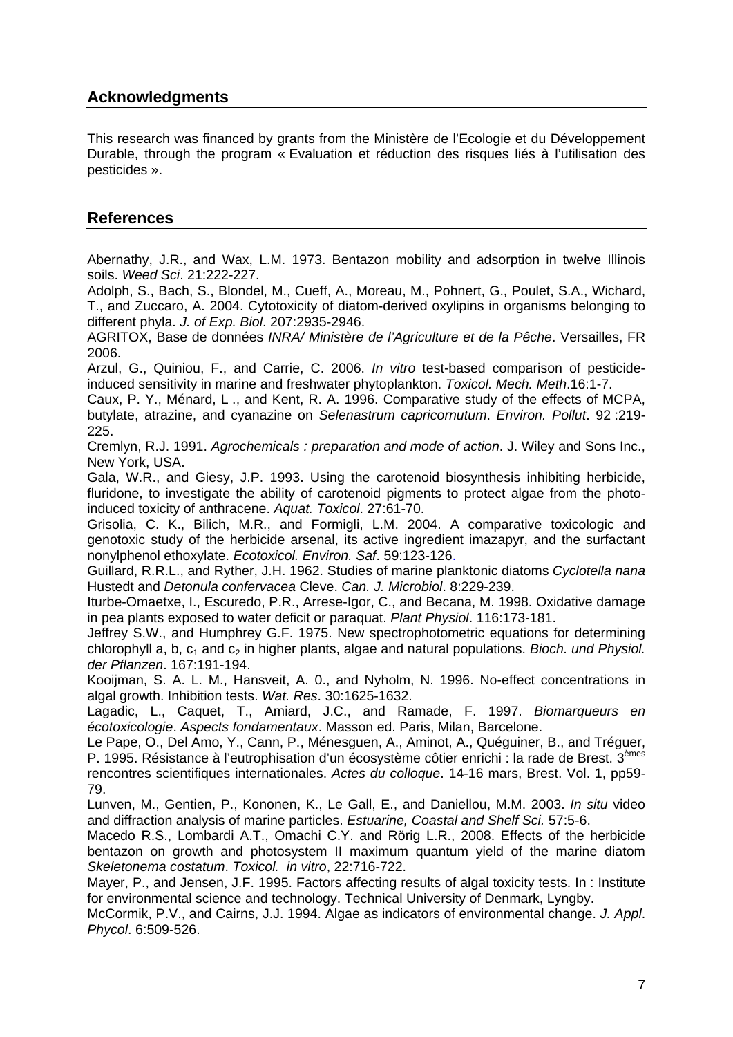# **Acknowledgments**

This research was financed by grants from the Ministère de l'Ecologie et du Développement Durable, through the program « Evaluation et réduction des risques liés à l'utilisation des pesticides ».

# **References**

Abernathy, J.R., and Wax, L.M. 1973. Bentazon mobility and adsorption in twelve Illinois soils. *Weed Sci*. 21:222-227.

Adolph, S., Bach, S., Blondel, M., Cueff, A., Moreau, M., Pohnert, G., Poulet, S.A., Wichard, T., and Zuccaro, A. 2004. Cytotoxicity of diatom-derived oxylipins in organisms belonging to different phyla. *J. of Exp. Biol*. 207:2935-2946.

AGRITOX, [Base](http://.inra.fr/agritox/php/sa.php?source=UE&sa=356) de données *INRA/ Ministère de l'Agriculture et de la Pêche*. Versailles, FR 2006.

Arzul, G., Quiniou, F., and Carrie, C. 2006. *In vitro* test-based comparison of pesticideinduced sensitivity in marine and freshwater phytoplankton. *Toxicol. Mech. Meth*.16:1-7.

Caux, P. Y., Ménard, L ., and Kent, R. A. 1996. Comparative study of the effects of MCPA, butylate, atrazine, and cyanazine on *Selenastrum capricornutum*. *Environ. Pollut*. 92 :219- 225.

Cremlyn, R.J. 1991. *Agrochemicals : preparation and mode of action*. J. Wiley and Sons Inc., New York, USA.

Gala, W.R., and Giesy, J.P. 1993. Using the carotenoid biosynthesis inhibiting herbicide, fluridone, to investigate the ability of carotenoid pigments to protect algae from the photoinduced toxicity of anthracene. *Aquat. Toxicol*. 27:61-70.

Grisolia, C. K., Bilich, M.R., and Formigli, L.M. 2004. A comparative toxicologic and genotoxic study of the herbicide arsenal, its active ingredient imazapyr, and the surfactant nonylphenol ethoxylate. *Ecotoxicol. Environ. Saf*. 59:123-126.

Guillard, R.R.L., and Ryther, J.H. 1962. Studies of marine planktonic diatoms *Cyclotella nana* Hustedt and *Detonula confervacea* Cleve. *Can. J. Microbiol*. 8:229-239.

Iturbe-Omaetxe, I., Escuredo, P.R., Arrese-Igor, C., and Becana, M. 1998. Oxidative damage in pea plants exposed to water deficit or paraquat. *Plant Physiol*. 116:173-181.

Jeffrey S.W., and Humphrey G.F. 1975. New spectrophotometric equations for determining chlorophyll a, b, c<sub>1</sub> and c<sub>2</sub> in higher plants, algae and natural populations. *Bioch. und Physiol. der Pflanzen*. 167:191-194.

Kooijman, S. A. L. M., Hansveit, A. 0., and Nyholm, N. 1996. No-effect concentrations in algal growth. Inhibition tests. *Wat. Res*. 30:1625-1632.

Lagadic, L., Caquet, T., Amiard, J.C., and Ramade, F. 1997. *Biomarqueurs en écotoxicologie*. *Aspects fondamentaux*. Masson ed. Paris, Milan, Barcelone.

Le Pape, O., Del Amo, Y., Cann, P., Ménesguen, A., Aminot, A., Quéguiner, B., and Tréguer, P. 1995. Résistance à l'eutrophisation d'un écosystème côtier enrichi : la rade de Brest. 3èmes rencontres scientifiques internationales. *Actes du colloque*. 14-16 mars, Brest. Vol. 1, pp59- 79.

Lunven, M., Gentien, P., Kononen, K., [Le Gall, E.](http://www-uk1.csa.com/ids70/p_search_form.php?field=au&query=le+gall+e&log=literal&SID=ded578271e77d8eb004c5060d6111e06), and Daniellou, M.M. 2003. *In situ* video and diffraction analysis of marine particles. *Estuarine, Coastal and Shelf Sci.* 57:5-6.

Macedo R.S., Lombardi A.T., Omachi C.Y. and Rörig L.R., 2008. Effects of the herbicide bentazon on growth and photosystem II maximum quantum yield of the marine diatom *Skeletonema costatum*. *Toxicol. in vitro*, 22:716-722.

Mayer, P., and Jensen, J.F. 1995. Factors affecting results of algal toxicity tests. In : Institute for environmental science and technology. Technical University of Denmark, Lyngby.

McCormik, P.V., and Cairns, J.J. 1994. Algae as indicators of environmental change. *J. Appl*. *Phycol*. 6:509-526.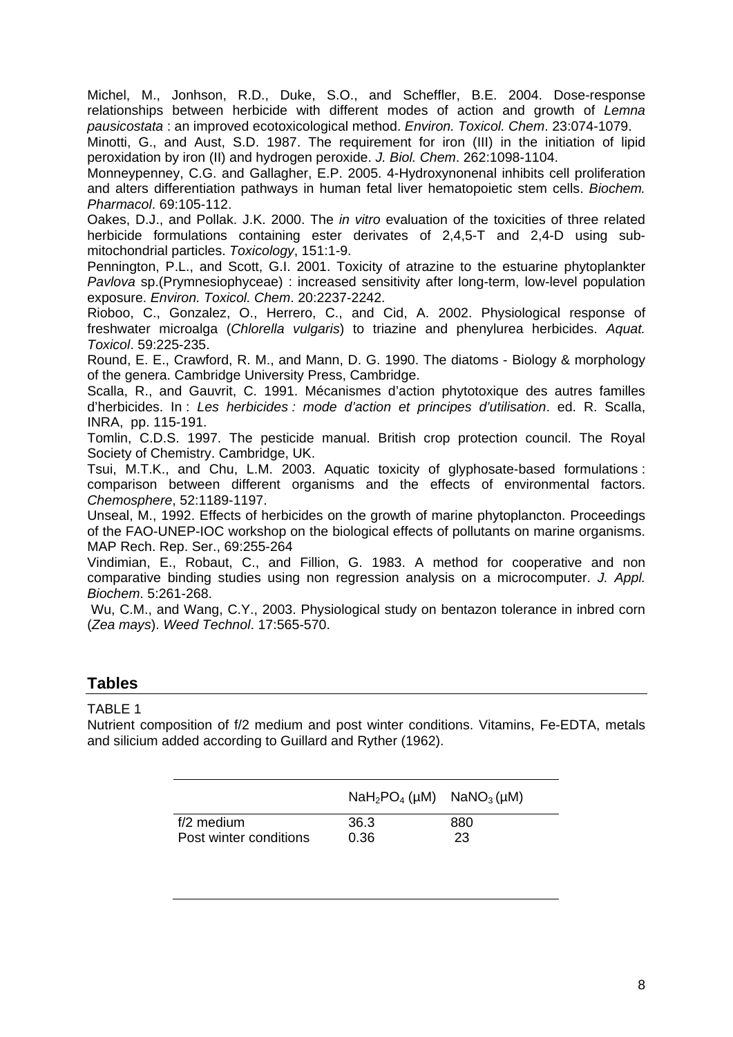Michel, M., Jonhson, R.D., Duke, S.O., and Scheffler, B.E. 2004. Dose-response relationships between herbicide with different modes of action and growth of *Lemna pausicostata* : an improved ecotoxicological method. *Environ. Toxicol. Chem*. 23:074-1079.

Minotti, G., and Aust, S.D. 1987. The requirement for iron (III) in the initiation of lipid peroxidation by iron (II) and hydrogen peroxide. *J. Biol. Chem*. 262:1098-1104.

Monneypenney, C.G. and Gallagher, E.P. 2005. 4-Hydroxynonenal inhibits cell proliferation and alters differentiation pathways in human fetal liver hematopoietic stem cells. *Biochem. Pharmacol*. 69:105-112.

Oakes, D.J., and Pollak. J.K. 2000. The *in vitro* evaluation of the toxicities of three related herbicide formulations containing ester derivates of 2,4,5-T and 2,4-D using submitochondrial particles. *Toxicology*, 151:1-9.

Pennington, P.L., and Scott, G.I. 2001. Toxicity of atrazine to the estuarine phytoplankter *Pavlova* sp.(Prymnesiophyceae) : increased sensitivity after long-term, low-level population exposure. *Environ. Toxicol. Chem*. 20:2237-2242.

Rioboo, C., Gonzalez, O., Herrero, C., and Cid, A. 2002. Physiological response of freshwater microalga (*Chlorella vulgaris*) to triazine and phenylurea herbicides. *Aquat. Toxicol*. 59:225-235.

Round, E. E., Crawford, R. M., and Mann, D. G. 1990. The diatoms - Biology & morphology of the genera. Cambridge University Press, Cambridge.

Scalla, R., and Gauvrit, C. 1991. Mécanismes d'action phytotoxique des autres familles d'herbicides. In : *Les herbicides : mode d'action et principes d'utilisation*. ed. R. Scalla, INRA, pp. 115-191.

Tomlin, C.D.S. 1997. The pesticide manual. British crop protection council. The Royal Society of Chemistry. Cambridge, UK.

Tsui, M.T.K., and Chu, L.M. 2003. Aquatic toxicity of glyphosate-based formulations : comparison between different organisms and the effects of environmental factors. *Chemosphere*, 52:1189-1197.

Unseal, M., 1992. Effects of herbicides on the growth of marine phytoplancton. Proceedings of the FAO-UNEP-IOC workshop on the biological effects of pollutants on marine organisms. MAP Rech. Rep. Ser., 69:255-264

Vindimian, E., Robaut, C., and Fillion, G. 1983. A method for cooperative and non comparative binding studies using non regression analysis on a microcomputer. *J. Appl. Biochem*. 5:261-268.

 Wu, C.M., and Wang, C.Y., 2003. Physiological study on bentazon tolerance in inbred corn (*Zea mays*). *Weed Technol*. 17:565-570.

## **Tables**

### TABLE 1

Nutrient composition of f/2 medium and post winter conditions. Vitamins, Fe-EDTA, metals and silicium added according to Guillard and Ryther (1962).

|                        | $NaH_2PO_4$ (µM) $NaNO_3$ (µM) |     |
|------------------------|--------------------------------|-----|
| f/2 medium             | 36.3                           | 880 |
| Post winter conditions | 0.36                           | 23  |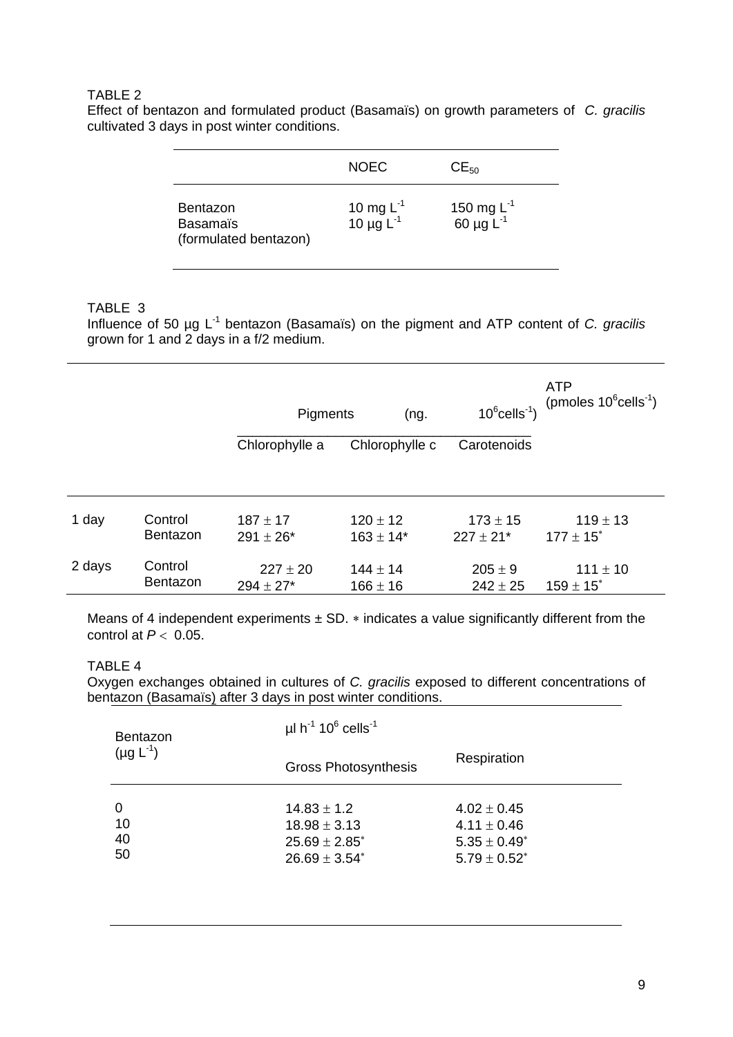### TABLE 2

Effect of bentazon and formulated product (Basamaïs) on growth parameters of *C. gracilis* cultivated 3 days in post winter conditions.

|                                                             | <b>NOEC</b>                      | $CE_{50}$                         |
|-------------------------------------------------------------|----------------------------------|-----------------------------------|
| <b>Bentazon</b><br><b>Basamaïs</b><br>(formulated bentazon) | 10 mg $L^{-1}$<br>10 µg $L^{-1}$ | 150 mg $L^{-1}$<br>60 µg $L^{-1}$ |

### TABLE 3

Influence of 50 µg L-1 bentazon (Basamaïs) on the pigment and ATP content of *C. gracilis* grown for 1 and 2 days in a f/2 medium.

|        |                            | Pigments<br>(ng.              |                               | $10^6$ cells <sup>-1</sup> )              | <b>ATP</b><br>(pmoles $10^6$ cells <sup>-1</sup> ) |
|--------|----------------------------|-------------------------------|-------------------------------|-------------------------------------------|----------------------------------------------------|
|        |                            | Chlorophylle a                | Chlorophylle c                | Carotenoids                               |                                                    |
|        |                            |                               |                               |                                           |                                                    |
| 1 day  | Control<br><b>Bentazon</b> | $187 \pm 17$<br>$291 \pm 26*$ | $120 \pm 12$<br>$163 \pm 14*$ | $173 \pm 15$<br>$227 \pm 21$ <sup>*</sup> | $119 \pm 13$<br>$177 \pm 15$ <sup>*</sup>          |
| 2 days | Control<br>Bentazon        | $227 \pm 20$<br>$294 \pm 27*$ | $144 \pm 14$<br>$166 \pm 16$  | $205 \pm 9$<br>$242 \pm 25$               | $111 \pm 10$<br>$159 \pm 15$ <sup>*</sup>          |

Means of 4 independent experiments  $\pm$  SD.  $*$  indicates a value significantly different from the control at  $P < 0.05$ .

### TABLE 4

Oxygen exchanges obtained in cultures of *C. gracilis* exposed to different concentrations of bentazon (Basamaïs) after 3 days in post winter conditions.

| Bentazon<br>$(\mu g L^{-1})$ | $\mu$ I h <sup>-1</sup> 10 <sup>6</sup> cells <sup>-1</sup>                     |                                                                              |  |
|------------------------------|---------------------------------------------------------------------------------|------------------------------------------------------------------------------|--|
|                              | <b>Gross Photosynthesis</b>                                                     | Respiration                                                                  |  |
| 0<br>10<br>40<br>50          | $14.83 \pm 1.2$<br>$18.98 \pm 3.13$<br>$25.69 \pm 2.85^*$<br>$26.69 \pm 3.54^*$ | $4.02 \pm 0.45$<br>$4.11 \pm 0.46$<br>$5.35 \pm 0.49^*$<br>$5.79 \pm 0.52^*$ |  |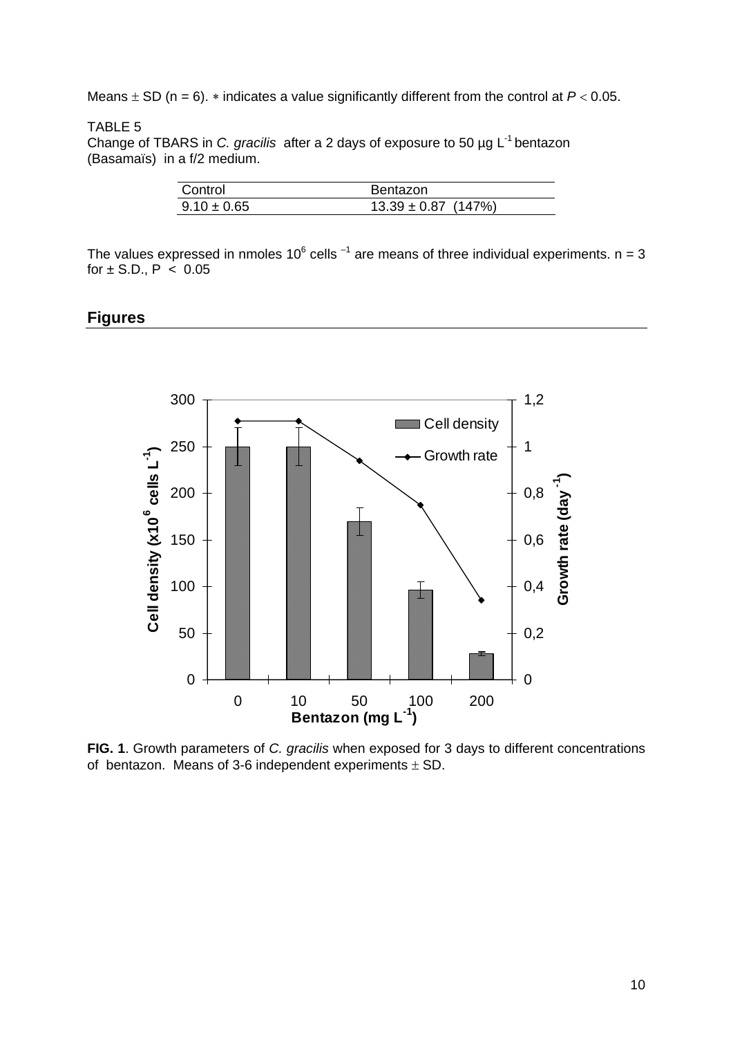Means  $\pm$  SD (n = 6).  $*$  indicates a value significantly different from the control at  $P < 0.05$ .

### TABLE 5

Change of TBARS in *C. gracilis* after a 2 days of exposure to 50 µg L-1 bentazon (Basamaïs) in a f/2 medium.

| Control         | <b>Bentazon</b>         |
|-----------------|-------------------------|
| $9.10 \pm 0.65$ | $13.39 \pm 0.87$ (147%) |

The values expressed in nmoles 10<sup>6</sup> cells <sup>-1</sup> are means of three individual experiments. n = 3 for  $\pm$  S.D., P  $\lt$  0.05

### **Figures**



**FIG. 1**. Growth parameters of *C. gracilis* when exposed for 3 days to different concentrations of bentazon. Means of 3-6 independent experiments  $\pm$  SD.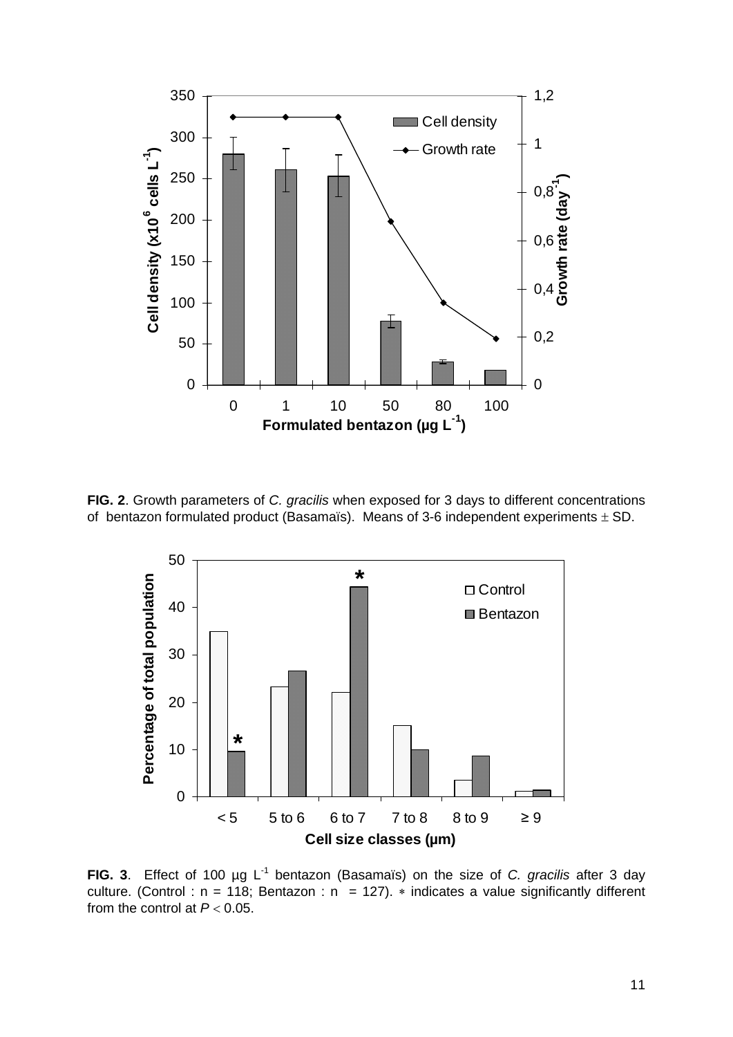

**FIG. 2**. Growth parameters of *C. gracilis* when exposed for 3 days to different concentrations of bentazon formulated product (Basamaïs). Means of 3-6 independent experiments  $\pm$  SD.



**FIG. 3**. Effect of 100 µg L-1 bentazon (Basamaïs) on the size of *C. gracilis* after 3 day culture. (Control :  $n = 118$ ; Bentazon :  $n = 127$ ).  $*$  indicates a value significantly different from the control at  $P < 0.05$ .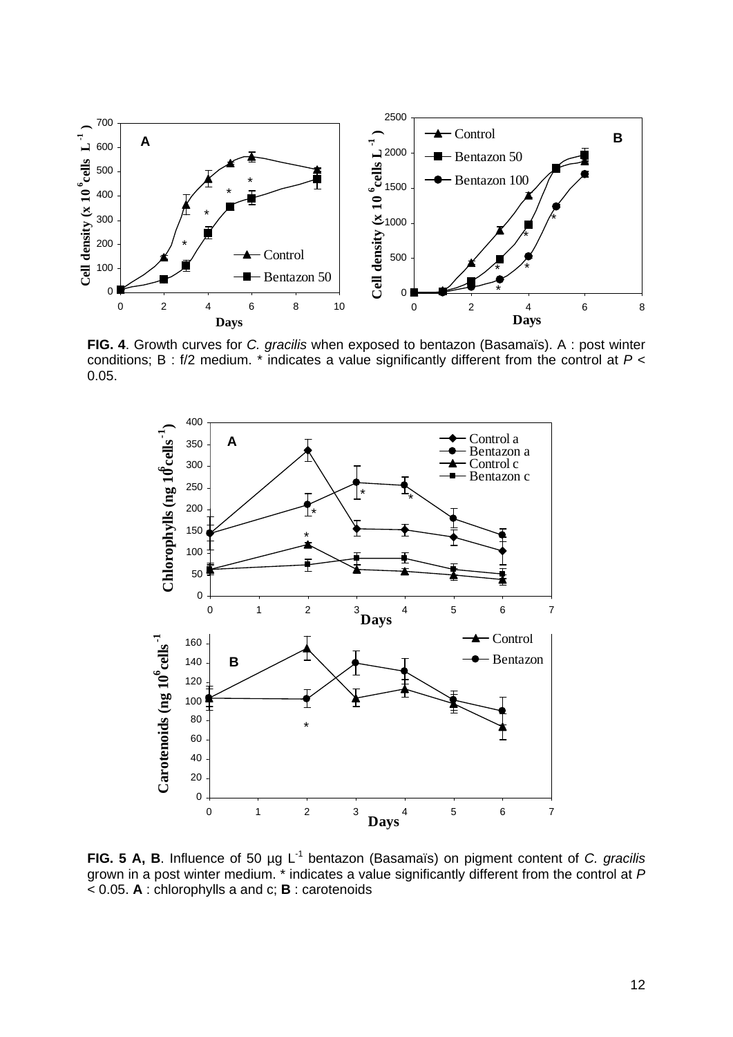

**FIG. 4**. Growth curves for *C. gracilis* when exposed to bentazon (Basamaïs). A : post winter conditions; B : f/2 medium. \* indicates a value significantly different from the control at *P* < 0.05.



**FIG. 5 A, B**. Influence of 50 µg L-1 bentazon (Basamaïs) on pigment content of *C. gracilis* grown in a post winter medium. \* indicates a value significantly different from the control at *P* < 0.05. **A** : chlorophylls a and c; **B** : carotenoids